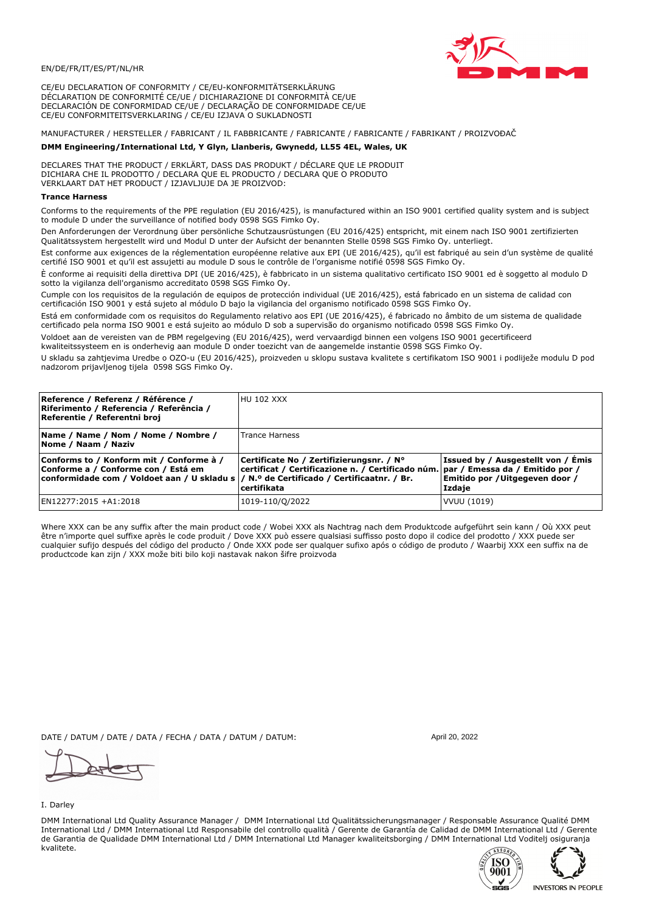

CE/EU DECLARATION OF CONFORMITY / CE/EU-KONFORMITÄTSERKLÄRUNG DÉCLARATION DE CONFORMITÉ CE/UE / DICHIARAZIONE DI CONFORMITÀ CE/UE DECLARACIÓN DE CONFORMIDAD CE/UE / DECLARAÇÃO DE CONFORMIDADE CE/UE CE/EU CONFORMITEITSVERKLARING / CE/EU IZJAVA O SUKLADNOSTI

## MANUFACTURER / HERSTELLER / FABRICANT / IL FABBRICANTE / FABRICANTE / FABRICANTE / FABRIKANT / PROIZVOĐAČ

### DMM Engineering/International Ltd, Y Glyn, Llanberis, Gwynedd, LL55 4EL, Wales, UK

DECLARES THAT THE PRODUCT / ERKLÄRT, DASS DAS PRODUKT / DÉCLARE QUE LE PRODUIT<br>DICHIARA CHE IL PRODOTTO / DECLARA QUE EL PRODUCTO / DECLARA QUE O PRODUTO VERKLAART DAT HET PRODUCT / IZJAVLJUJE DA JE PROIZVOD:

#### **Trance Harness**

Conforms to the requirements of the PPE regulation (EU 2016/425), is manufactured within an ISO 9001 certified quality system and is subject to module D under the surveillance of notified body 0598 SGS Fimko Ov.

Den Anforderungen der Verordnung über persönliche Schutzausrüstungen (EU 2016/425) entspricht, mit einem nach ISO 9001 zertifizierten Qualitätssystem hergestellt wird und Modul D unter der Aufsicht der benannten Stelle 0598 SGS Fimko Oy. unterliegt.

Est conforme aux exigences de la réglementation européenne relative aux EPI (UE 2016/425), qu'il est fabriqué au sein d'un système de qualité certifié ISO 9001 et qu'il est assujetti au module D sous le contrôle de l'organisme notifié 0598 SGS Fimko Oy.

È conforme ai requisiti della direttiva DPI (UE 2016/425), è fabbricato in un sistema qualitativo certificato ISO 9001 ed è soggetto al modulo D sotto la vigilanza dell'organismo accreditato 0598 SGS Fimko Oy.

Cumple con los requisitos de la regulación de equipos de protección individual (UE 2016/425), está fabricado en un sistema de calidad con certificación ISO 9001 y está sujeto al módulo D bajo la vigilancia del organismo notificado 0598 SGS Fimko Oy.

Está em conformidade com os requisitos do Regulamento relativo aos EPI (UE 2016/425), é fabricado no âmbito de um sistema de qualidade certificado pela norma ISO 9001 e está sujeito ao módulo D sob a supervisão do organismo notificado 0598 SGS Fimko Oy.

Voldoet aan de vereisten van de PBM regelgeving (EU 2016/425), werd vervaardigd binnen een volgens ISO 9001 gecertificeerd kwaliteitssysteem en is onderhevig aan module D onder toezicht van de aangemelde instantie 0598 SGS Fimko Oy.

U skladu sa zahtjevima Uredbe o OZO-u (EU 2016/425), proizveden u sklopu sustava kvalitete s certifikatom ISO 9001 i podliježe modulu D pod nadzorom prijavljenog tijela 0598 SGS Fimko Oy.

| Reference / Referenz / Référence /<br>Riferimento / Referencia / Referência /<br>Referentie / Referentni broj                                                               | <b>HU 102 XXX</b>                                                                                                                                |                                                                                 |
|-----------------------------------------------------------------------------------------------------------------------------------------------------------------------------|--------------------------------------------------------------------------------------------------------------------------------------------------|---------------------------------------------------------------------------------|
| Name / Name / Nom / Nome / Nombre /<br>Nome / Naam / Naziv                                                                                                                  | <b>Trance Harness</b>                                                                                                                            |                                                                                 |
| Conforms to / Konform mit / Conforme à /<br>Conforme a / Conforme con / Está em<br>conformidade com / Voldoet aan / U skladu s  / N.º de Certificado / Certificaatnr. / Br. | Certificate No / Zertifizierungsnr. / N°<br>  certificat / Certificazione n. / Certificado núm.   par / Emessa da / Emitido por /<br>certifikata | Issued by / Ausgestellt von / Emis<br>Emitido por / Uitgegeven door /<br>Izdaje |
| EN12277:2015 +A1:2018                                                                                                                                                       | 1019-110/Q/2022                                                                                                                                  | VVUU (1019)                                                                     |

Where XXX can be any suffix after the main product code / Wobei XXX als Nachtrag nach dem Produktcode aufgeführt sein kann / Où XXX peut être n'importe quel suffixe après le code produit / Dove XXX può essere qualsiasi suffisso posto dopo il codice del prodotto / XXX puede ser<br>cualquier sufijo después del código del producto / Onde XXX pode ser qualquer suf productcode kan zijn / XXX može biti bilo koji nastavak nakon šifre proizvoda

DATE / DATUM / DATE / DATA / FECHA / DATA / DATUM / DATUM:

I. Darley

DMM International Ltd Quality Assurance Manager / DMM International Ltd Qualitätssicherungsmanager / Responsable Assurance Qualité DMM International Ltd / DMM International Ltd Responsabile del controllo qualità / Gerente de Garantía de Calidad de DMM International Ltd / Gerente de Garantia de Qualidade DMM International Ltd / DMM International Ltd Manager kwaliteitsborging / DMM International Ltd Voditelj osiguranja kvalitete.





Anril 20 2022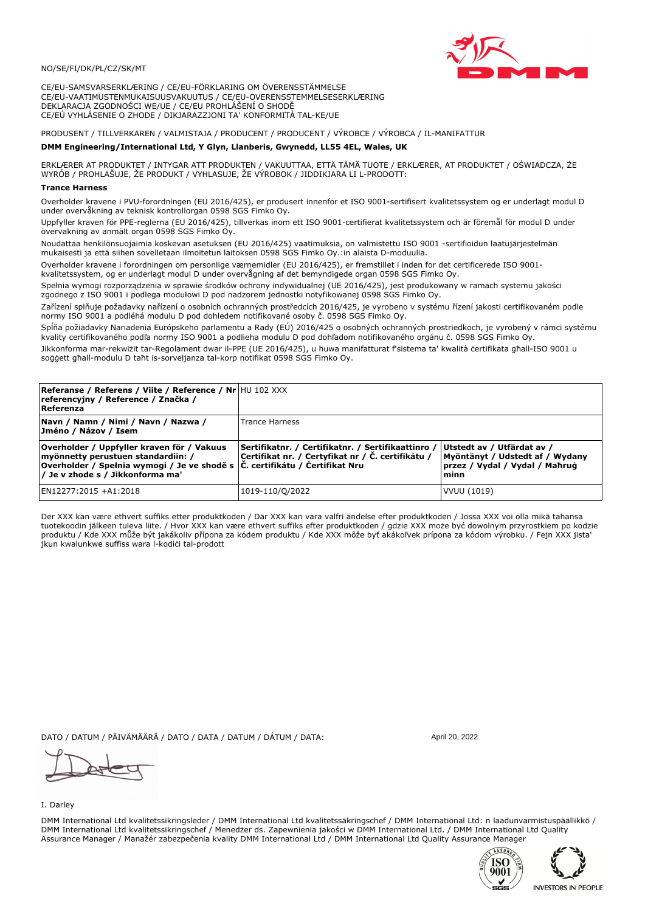

CE/EU-SAMSVARSERKLÆRING / CE/EU-FÖRKLARING OM ÖVERENSSTÄMMELSE CE/EU-VAATIMUSTENMUKAISUUSVAKUUTUS / CE/EU-OVERENSSTEMMELSESERKLÆRING DEKLARACJA ZGODNOŚCI WE/UE / CE/EU PROHLÁŠENÍ O SHODĚ CE/EÚ VYHLÁSENIE O ZHODE / DIKJARAZZJONI TA' KONFORMITÀ TAL-KE/UE

# PRODUSENT / TILLVERKAREN / VALMISTAJA / PRODUCENT / PRODUCENT / VÝROBCE / VÝROBCA / IL-MANIFATTUR

### DMM Engineering/International Ltd, Y Glyn, Llanberis, Gwynedd, LL55 4EL, Wales, UK

ERKLÆRER AT PRODUKTET / INTYGAR ATT PRODUKTEN / VAKUUTTAA, ETTÄ TÄMÄ TUOTE / ERKLÆRER, AT PRODUKTET / OŚWIADCZA, ŻE<br>WYRÓB / PROHLAŠUJE, ŽE PRODUKT / VYHLASUJE, ŽE VÝROBOK / JIDDIKJARA LI L-PRODOTT:

Overholder kravene i PVU-forordningen (EU 2016/425), er produsert innenfor et ISO 9001-sertifisert kvalitetssystem og er underlagt modul D under overvåkning av teknisk kontrollorgan 0598 SGS Fimko Ov.

Uppfyller kraven för PPE-reglerna (EU 2016/425), tillverkas inom ett ISO 9001-certifierat kvalitetssystem och är föremål för modul D under övervakning av anmält organ 0598 SGS Fimko Oy.

Noudattaa henkilönsuojaimia koskevan asetuksen (EU 2016/425) vaatimuksia, on valmistettu ISO 9001 -sertifioidun laatujärjestelmän mukaisesti ja että siihen sovelletaan ilmoitetun laitoksen 0598 SGS Fimko Oy.:in alaista D-moduulia.

Overholder kravene i forordningen om personlige værnemidler (EU 2016/425), er fremstillet i inden for det certificerede ISO 9001kvalitetssystem, og er underlagt modul D under overvågning af det bemyndigede organ 0598 SGS Fimko Oy.

Spełnia wymogi rozporządzenia w sprawie środków ochrony indywidualnej (UE 2016/425), jest produkowany w ramach systemu jakości zgodnego z ISO 9001 i podlega modułowi D pod nadzorem jednostki notyfikowanej 0598 SGS Fimko Oy.

Zařízení splňuje požadavky nařízení o osobních ochranných prostředcích 2016/425, je vyrobeno v systému řízení jakosti certifikovaném podle normy ISO 9001 a podléhá modulu D pod dohledem notifikované osoby č. 0598 SGS Fimko Oy.

Spĺňa požiadavky Nariadenia Európskeho parlamentu a Rady (EÚ) 2016/425 o osobných ochranných prostriedkoch, je vyrobený v rámci systému kvality certifikovaného podľa normy ISO 9001 a podlieha modulu D pod dohľadom notifikovaného orgánu č. 0598 SGS Fimko Oy.

Jikkonforma mar-rekwiżit tar-Regolament dwar il-PPE (UE 2016/425), u huwa manifatturat f'sistema ta' kwalità certifikata għall-ISO 9001 u soggett ghall-modulu D taht is-sorveljanza tal-korp notifikat 0598 SGS Fimko Oy.

| <b>Referanse / Referens / Viite / Reference / Nr HU 102 XXX</b><br>referencyjny / Reference / Značka /<br>Referenza                                                                                   |                                                                                                         |                                                                                                         |
|-------------------------------------------------------------------------------------------------------------------------------------------------------------------------------------------------------|---------------------------------------------------------------------------------------------------------|---------------------------------------------------------------------------------------------------------|
| Navn / Namn / Nimi / Navn / Nazwa /<br>Jméno / Názov / Isem                                                                                                                                           | Trance Harness                                                                                          |                                                                                                         |
| Overholder / Uppfyller kraven för / Vakuus<br>myönnetty perustuen standardiin: /<br> Overholder / Spełnia wymogi / Je ve shodě s  Č. certifikátu / Čertifikat Nru<br>/ Je v zhode s / Jikkonforma ma' | Sertifikatnr. / Certifikatnr. / Sertifikaattinro /<br>Certifikat nr. / Certyfikat nr / Č. certifikátu / | Utstedt av / Utfärdat av /<br>Myöntänyt / Udstedt af / Wydany<br>przez / Vydal / Vydal / Maħruġ<br>minn |
| EN12277:2015 +A1:2018                                                                                                                                                                                 | 1019-110/Q/2022                                                                                         | VVUU (1019)                                                                                             |

Der XXX kan være ethvert suffiks etter produktkoden / Där XXX kan vara valfri ändelse efter produktkoden / Jossa XXX voi olla mikä tahansa tuotekoodin jälkeen tuleva liite. / Hvor XXX kan være ethvert suffiks efter produktkoden / gdzie XXX może być dowolnym przyrostkiem po kodzie produktu / Kde XXX může být jakákoliv přípona za kódem produktu / Kde XXX môže byť akákoľvek prípona za kódom výrobku. / Fejn XXX jista jkun kwalunkwe suffiss wara l-kodici tal-prodott

DATO / DATUM / PÄIVÄMÄÄRÄ / DATO / DATA / DATUM / DÁTUM / DATA:

I. Darley

DMM International Ltd kvalitetssikringsleder / DMM International Ltd kvalitetssäkringschef / DMM International Ltd: n laadunvarmistuspäällikkö / DMM International Ltd kvalitetssikringschef / Menedzer ds. Zapewnienia jakości w DMM International Ltd. / DMM International Ltd Quality Assurance Manager / Manažér zabezpečenia kvality DMM International Ltd / DMM International Ltd Quality Assurance Manager





April 20, 2022